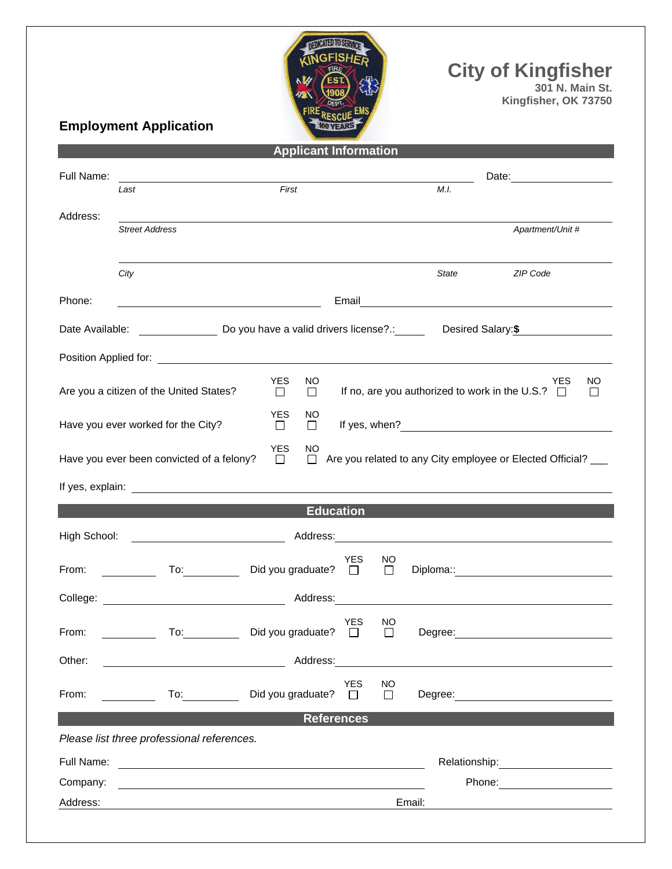

**City of Kingfisher**

**301 N. Main St. Kingfisher, OK 73750**

## **Employment Application**

| <b>Applicant Information</b>                                                                                                                                            |                                            |                                                    |                       |               |                                                                                                                                                                                                                                |  |  |  |  |
|-------------------------------------------------------------------------------------------------------------------------------------------------------------------------|--------------------------------------------|----------------------------------------------------|-----------------------|---------------|--------------------------------------------------------------------------------------------------------------------------------------------------------------------------------------------------------------------------------|--|--|--|--|
| Full Name:                                                                                                                                                              |                                            |                                                    |                       |               | Date: _________________                                                                                                                                                                                                        |  |  |  |  |
|                                                                                                                                                                         | Last                                       | First                                              |                       |               | M.I.                                                                                                                                                                                                                           |  |  |  |  |
| Address:                                                                                                                                                                |                                            |                                                    |                       |               |                                                                                                                                                                                                                                |  |  |  |  |
|                                                                                                                                                                         | <b>Street Address</b>                      |                                                    |                       |               | Apartment/Unit #                                                                                                                                                                                                               |  |  |  |  |
|                                                                                                                                                                         |                                            |                                                    |                       |               |                                                                                                                                                                                                                                |  |  |  |  |
|                                                                                                                                                                         | City                                       |                                                    |                       |               | <b>State</b><br>ZIP Code                                                                                                                                                                                                       |  |  |  |  |
| Phone:                                                                                                                                                                  |                                            | <u> 1989 - Johann Barn, amerikansk politiker (</u> | Email                 |               |                                                                                                                                                                                                                                |  |  |  |  |
| Date Available:                                                                                                                                                         |                                            |                                                    |                       |               | Do you have a valid drivers license?.: Desired Salary: \$                                                                                                                                                                      |  |  |  |  |
|                                                                                                                                                                         |                                            |                                                    |                       |               |                                                                                                                                                                                                                                |  |  |  |  |
| <b>YES</b><br><b>YES</b><br>NO<br>NO.<br>If no, are you authorized to work in the U.S.? $\Box$<br>Are you a citizen of the United States?<br>$\Box$<br>$\Box$<br>$\Box$ |                                            |                                                    |                       |               |                                                                                                                                                                                                                                |  |  |  |  |
| <b>YES</b><br>ΝO<br>Have you ever worked for the City?<br>$\Box$<br>$\Box$                                                                                              |                                            |                                                    |                       |               |                                                                                                                                                                                                                                |  |  |  |  |
| <b>YES</b><br>NO<br>Have you ever been convicted of a felony?<br>Are you related to any City employee or Elected Official? ___<br>$\Box$<br>$\Box$                      |                                            |                                                    |                       |               |                                                                                                                                                                                                                                |  |  |  |  |
|                                                                                                                                                                         |                                            |                                                    |                       |               |                                                                                                                                                                                                                                |  |  |  |  |
| <b>Education</b>                                                                                                                                                        |                                            |                                                    |                       |               |                                                                                                                                                                                                                                |  |  |  |  |
| High School:                                                                                                                                                            |                                            |                                                    |                       |               |                                                                                                                                                                                                                                |  |  |  |  |
| From:                                                                                                                                                                   | $\overline{a}$ To:                         | Did you graduate? $\Box$                           | <b>YES</b>            | NO.<br>$\Box$ | Diploma:: <u>_______________________</u>                                                                                                                                                                                       |  |  |  |  |
|                                                                                                                                                                         |                                            |                                                    |                       |               |                                                                                                                                                                                                                                |  |  |  |  |
| From:                                                                                                                                                                   | To:                                        | Did you graduate?                                  | <b>YES</b><br>$\Box$  | NO.<br>$\Box$ | Degree:                                                                                                                                                                                                                        |  |  |  |  |
| Other:                                                                                                                                                                  |                                            | Address:                                           |                       |               |                                                                                                                                                                                                                                |  |  |  |  |
| From:                                                                                                                                                                   | To:                                        | Did you graduate?                                  | <b>YES</b><br>$\perp$ | NO<br>$\Box$  | Degree: the contract of the contract of the contract of the contract of the contract of the contract of the contract of the contract of the contract of the contract of the contract of the contract of the contract of the co |  |  |  |  |
|                                                                                                                                                                         |                                            | <b>References</b>                                  |                       |               |                                                                                                                                                                                                                                |  |  |  |  |
|                                                                                                                                                                         | Please list three professional references. |                                                    |                       |               |                                                                                                                                                                                                                                |  |  |  |  |
| Full Name:                                                                                                                                                              |                                            |                                                    |                       |               |                                                                                                                                                                                                                                |  |  |  |  |
| Company:                                                                                                                                                                |                                            |                                                    |                       |               |                                                                                                                                                                                                                                |  |  |  |  |
| Address:                                                                                                                                                                |                                            | Email:                                             |                       |               |                                                                                                                                                                                                                                |  |  |  |  |
|                                                                                                                                                                         |                                            |                                                    |                       |               |                                                                                                                                                                                                                                |  |  |  |  |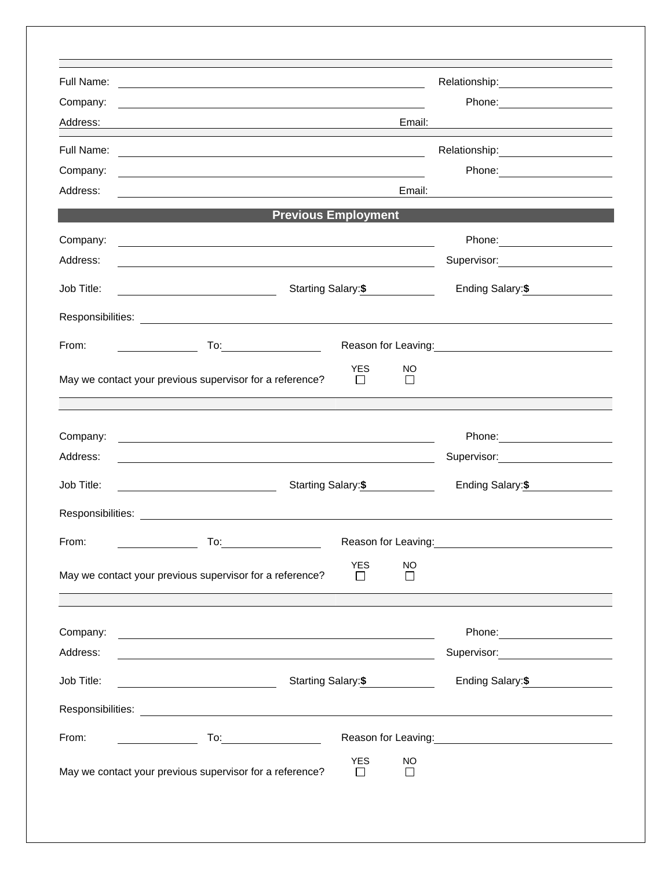| Full Name:           | <u> 1989 - Johann Stoff, deutscher Stoff, der Stoff, der Stoff, der Stoff, der Stoff, der Stoff, der Stoff, der S</u>                                                                                                          |                      |                      | Relationship: 2000                                                                                                     |  |  |  |
|----------------------|--------------------------------------------------------------------------------------------------------------------------------------------------------------------------------------------------------------------------------|----------------------|----------------------|------------------------------------------------------------------------------------------------------------------------|--|--|--|
| Company:             |                                                                                                                                                                                                                                |                      |                      |                                                                                                                        |  |  |  |
| Address:             | Email:<br><u> 1980 - Johann Barn, amerikan personal (h. 1980).</u>                                                                                                                                                             |                      |                      |                                                                                                                        |  |  |  |
| Full Name:           | <u> 1989 - Johann Stoff, deutscher Stoffen und der Stoffen und der Stoffen und der Stoffen und der Stoffen und der</u>                                                                                                         |                      |                      |                                                                                                                        |  |  |  |
| Company:             | <u> 1989 - Johann Stoff, deutscher Stoff, der Stoff, der Stoff, der Stoff, der Stoff, der Stoff, der Stoff, der S</u>                                                                                                          |                      |                      |                                                                                                                        |  |  |  |
| Address:             | Email:<br><u> 1989 - Johann Barbara, martin amerikan basal da</u>                                                                                                                                                              |                      |                      |                                                                                                                        |  |  |  |
|                      | <b>Previous Employment</b>                                                                                                                                                                                                     |                      |                      |                                                                                                                        |  |  |  |
| Company:             |                                                                                                                                                                                                                                |                      |                      |                                                                                                                        |  |  |  |
| Address:             |                                                                                                                                                                                                                                |                      |                      | Supervisor: 2000                                                                                                       |  |  |  |
| Job Title:           |                                                                                                                                                                                                                                | Starting Salary:\$   |                      |                                                                                                                        |  |  |  |
|                      |                                                                                                                                                                                                                                |                      |                      |                                                                                                                        |  |  |  |
| From:                | To: the contract of the contract of the contract of the contract of the contract of the contract of the contract of the contract of the contract of the contract of the contract of the contract of the contract of the contra |                      |                      | Reason for Leaving: <u>contained a series of the series of the series of the series of the series of the series of</u> |  |  |  |
|                      | May we contact your previous supervisor for a reference?                                                                                                                                                                       | YES.                 | NO<br>$\blacksquare$ |                                                                                                                        |  |  |  |
|                      |                                                                                                                                                                                                                                |                      |                      |                                                                                                                        |  |  |  |
|                      |                                                                                                                                                                                                                                |                      |                      |                                                                                                                        |  |  |  |
|                      |                                                                                                                                                                                                                                |                      |                      |                                                                                                                        |  |  |  |
| Company:<br>Address: | <u> 1989 - Johann Stoff, deutscher Stoffen und der Stoffen und der Stoffen und der Stoffen und der Stoffen und der</u>                                                                                                         |                      |                      |                                                                                                                        |  |  |  |
|                      |                                                                                                                                                                                                                                |                      |                      | Supervisor: 2000                                                                                                       |  |  |  |
| Job Title:           | Starting Salary:\$                                                                                                                                                                                                             |                      |                      | Ending Salary: \$                                                                                                      |  |  |  |
|                      |                                                                                                                                                                                                                                |                      |                      |                                                                                                                        |  |  |  |
| From:                | To:                                                                                                                                                                                                                            |                      | Reason for Leaving:  | <u> 1980 - Johann Barn, fransk politik (d. 1980)</u>                                                                   |  |  |  |
|                      | May we contact your previous supervisor for a reference?                                                                                                                                                                       | <b>YES</b><br>$\Box$ | <b>NO</b><br>$\Box$  |                                                                                                                        |  |  |  |
|                      |                                                                                                                                                                                                                                |                      |                      | <u> 1989 - Johann Barn, amerikansk politiker (d. 1989)</u>                                                             |  |  |  |
| Company:             | and the control of the control of the control of the control of the control of the control of the control of the                                                                                                               |                      |                      |                                                                                                                        |  |  |  |
| Address:             | <u> 1989 - Johann Barnett, fransk politiker (d. 1989)</u>                                                                                                                                                                      |                      |                      | Supervisor: 2000                                                                                                       |  |  |  |
| Job Title:           | <u> 2000 - John Stone, amerikansk politiker (</u>                                                                                                                                                                              | Starting Salary: \$  |                      | Ending Salary: \$                                                                                                      |  |  |  |
|                      |                                                                                                                                                                                                                                |                      |                      |                                                                                                                        |  |  |  |
| From:                |                                                                                                                                                                                                                                |                      |                      | Reason for Leaving: 1997                                                                                               |  |  |  |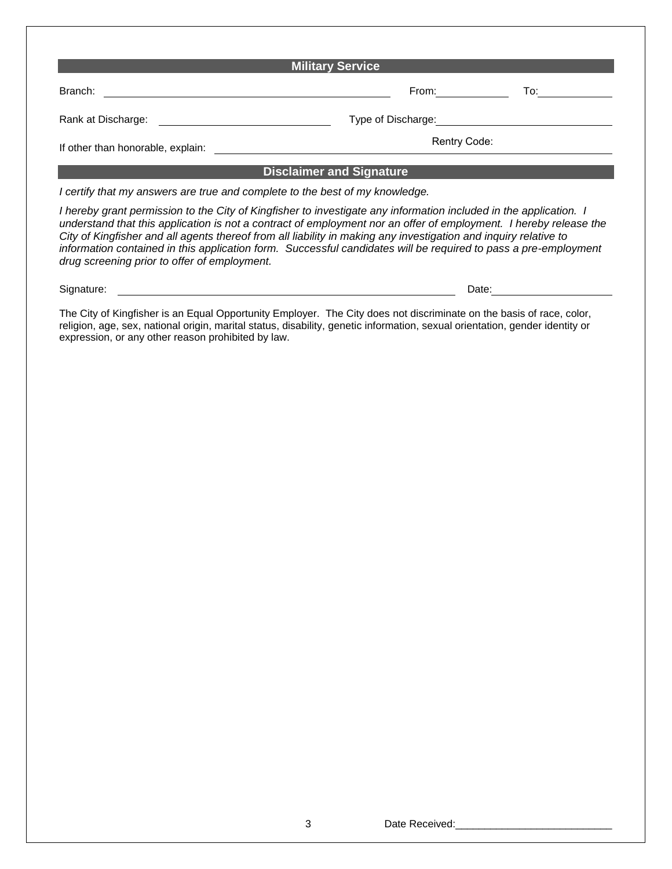| <b>Military Service</b>                                                                                                                                                                                                                                                                                                                                                                                                                                                                                                       |                                                                                                                                                                                                                                |       |  |  |  |  |  |  |  |
|-------------------------------------------------------------------------------------------------------------------------------------------------------------------------------------------------------------------------------------------------------------------------------------------------------------------------------------------------------------------------------------------------------------------------------------------------------------------------------------------------------------------------------|--------------------------------------------------------------------------------------------------------------------------------------------------------------------------------------------------------------------------------|-------|--|--|--|--|--|--|--|
| Branch:                                                                                                                                                                                                                                                                                                                                                                                                                                                                                                                       | From: The contract of the contract of the contract of the contract of the contract of the contract of the contract of the contract of the contract of the contract of the contract of the contract of the contract of the cont | To: I |  |  |  |  |  |  |  |
| Rank at Discharge:                                                                                                                                                                                                                                                                                                                                                                                                                                                                                                            | Type of Discharge:                                                                                                                                                                                                             |       |  |  |  |  |  |  |  |
| If other than honorable, explain:                                                                                                                                                                                                                                                                                                                                                                                                                                                                                             | Rentry Code:                                                                                                                                                                                                                   |       |  |  |  |  |  |  |  |
|                                                                                                                                                                                                                                                                                                                                                                                                                                                                                                                               | <b>Disclaimer and Signature</b>                                                                                                                                                                                                |       |  |  |  |  |  |  |  |
| I certify that my answers are true and complete to the best of my knowledge.                                                                                                                                                                                                                                                                                                                                                                                                                                                  |                                                                                                                                                                                                                                |       |  |  |  |  |  |  |  |
| I hereby grant permission to the City of Kingfisher to investigate any information included in the application. I<br>understand that this application is not a contract of employment nor an offer of employment. I hereby release the<br>City of Kingfisher and all agents thereof from all liability in making any investigation and inquiry relative to<br>information contained in this application form. Successful candidates will be required to pass a pre-employment<br>drug screening prior to offer of employment. |                                                                                                                                                                                                                                |       |  |  |  |  |  |  |  |
| Signature:                                                                                                                                                                                                                                                                                                                                                                                                                                                                                                                    | Date:                                                                                                                                                                                                                          |       |  |  |  |  |  |  |  |

The City of Kingfisher is an Equal Opportunity Employer. The City does not discriminate on the basis of race, color, religion, age, sex, national origin, marital status, disability, genetic information, sexual orientation, gender identity or expression, or any other reason prohibited by law.